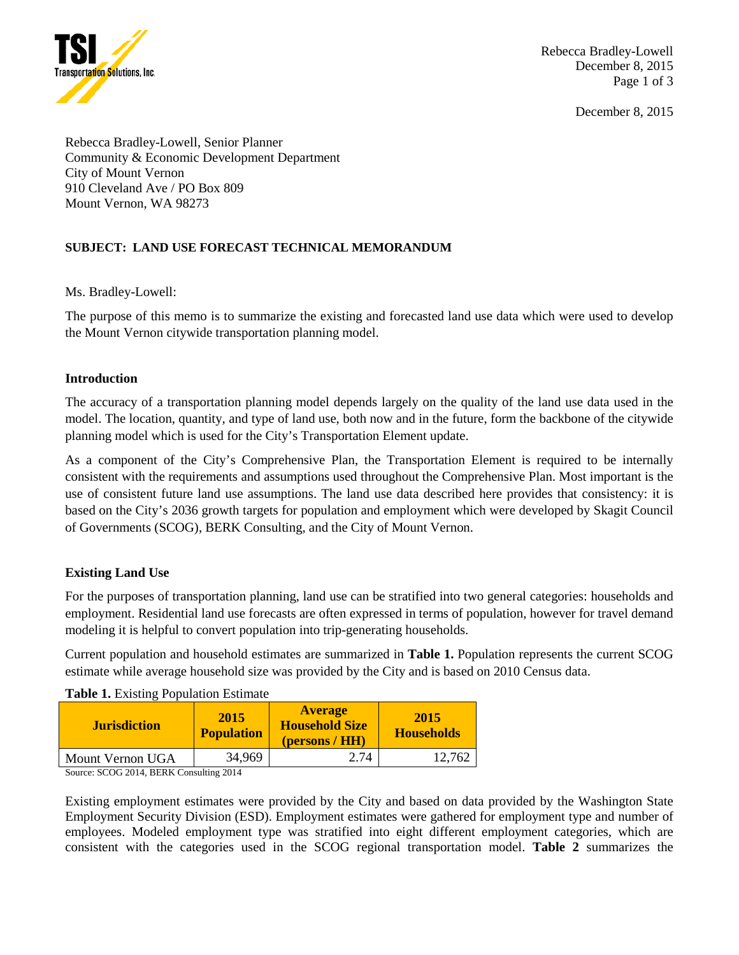

Rebecca Bradley-Lowell December 8, 2015 Page 1 of 3

December 8, 2015

Rebecca Bradley-Lowell, Senior Planner Community & Economic Development Department City of Mount Vernon 910 Cleveland Ave / PO Box 809 Mount Vernon, WA 98273

# **SUBJECT: LAND USE FORECAST TECHNICAL MEMORANDUM**

Ms. Bradley-Lowell:

The purpose of this memo is to summarize the existing and forecasted land use data which were used to develop the Mount Vernon citywide transportation planning model.

# **Introduction**

The accuracy of a transportation planning model depends largely on the quality of the land use data used in the model. The location, quantity, and type of land use, both now and in the future, form the backbone of the citywide planning model which is used for the City's Transportation Element update.

As a component of the City's Comprehensive Plan, the Transportation Element is required to be internally consistent with the requirements and assumptions used throughout the Comprehensive Plan. Most important is the use of consistent future land use assumptions. The land use data described here provides that consistency: it is based on the City's 2036 growth targets for population and employment which were developed by Skagit Council of Governments (SCOG), BERK Consulting, and the City of Mount Vernon.

# **Existing Land Use**

For the purposes of transportation planning, land use can be stratified into two general categories: households and employment. Residential land use forecasts are often expressed in terms of population, however for travel demand modeling it is helpful to convert population into trip-generating households.

Current population and household estimates are summarized in **Table 1.** Population represents the current SCOG estimate while average household size was provided by the City and is based on 2010 Census data.

**Table 1.** Existing Population Estimate

| <b>Jurisdiction</b>                       | 2015<br><b>Population</b> | <b>Average</b><br><b>Household Size</b><br>(persons / HH) | 2015<br><b>Households</b> |
|-------------------------------------------|---------------------------|-----------------------------------------------------------|---------------------------|
| Mount Vernon UGA                          | 34,969                    | 2.74                                                      | 12.762                    |
| $0.0000011$ DEDI $\overline{u}$<br>$\sim$ | 0.011<br>1.1              |                                                           |                           |

Source: SCOG 2014, BERK Consulting 2014

Existing employment estimates were provided by the City and based on data provided by the Washington State Employment Security Division (ESD). Employment estimates were gathered for employment type and number of employees. Modeled employment type was stratified into eight different employment categories, which are consistent with the categories used in the SCOG regional transportation model. **Table 2** summarizes the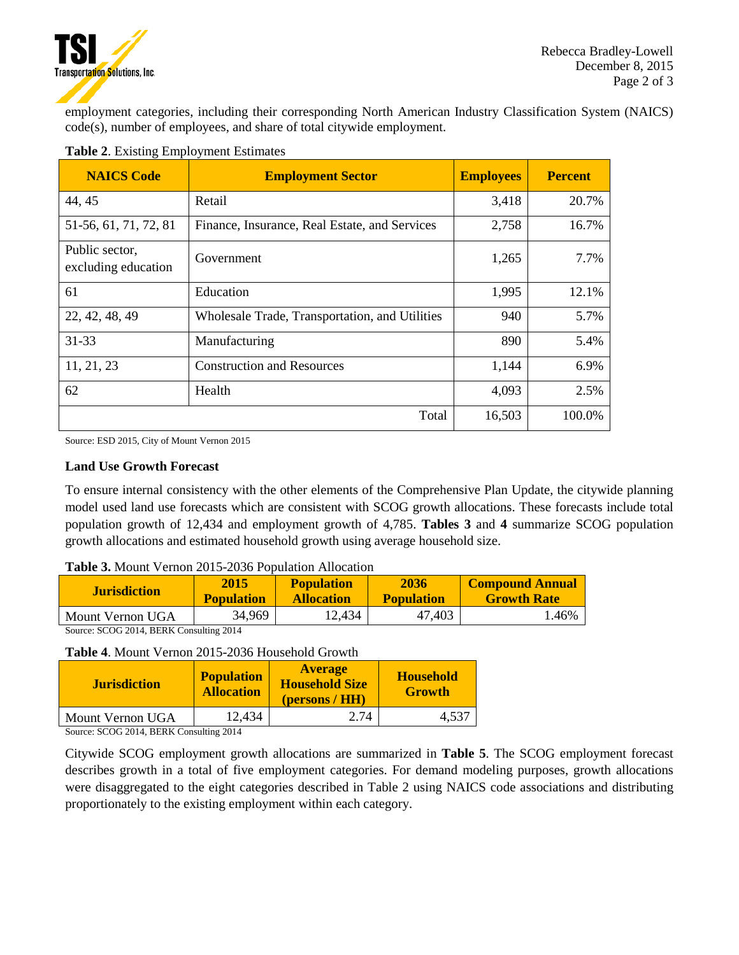

employment categories, including their corresponding North American Industry Classification System (NAICS) code(s), number of employees, and share of total citywide employment.

| <b>NAICS Code</b>                     | <b>Employment Sector</b>                       | <b>Employees</b> | <b>Percent</b> |
|---------------------------------------|------------------------------------------------|------------------|----------------|
| 44, 45                                | Retail                                         | 3,418            | 20.7%          |
| 51-56, 61, 71, 72, 81                 | Finance, Insurance, Real Estate, and Services  | 2,758            | 16.7%          |
| Public sector,<br>excluding education | Government                                     | 1,265            | 7.7%           |
| 61                                    | Education                                      | 1,995            | 12.1%          |
| 22, 42, 48, 49                        | Wholesale Trade, Transportation, and Utilities | 940              | 5.7%           |
| 31-33                                 | Manufacturing                                  | 890              | 5.4%           |
| 11, 21, 23                            | <b>Construction and Resources</b>              | 1,144            | 6.9%           |
| 62                                    | Health                                         | 4,093            | 2.5%           |
|                                       | Total                                          | 16,503           | 100.0%         |

# **Table 2**. Existing Employment Estimates

Source: ESD 2015, City of Mount Vernon 2015

# **Land Use Growth Forecast**

To ensure internal consistency with the other elements of the Comprehensive Plan Update, the citywide planning model used land use forecasts which are consistent with SCOG growth allocations. These forecasts include total population growth of 12,434 and employment growth of 4,785. **Tables 3** and **4** summarize SCOG population growth allocations and estimated household growth using average household size.

#### **Table 3.** Mount Vernon 2015-2036 Population Allocation

| <b>Jurisdiction</b>      | 2015<br><b>Population</b> | <b>Population</b><br><b>Allocation</b> | <b>2036</b><br><b>Population</b> | <b>Compound Annual</b><br><b>Growth Rate</b> |
|--------------------------|---------------------------|----------------------------------------|----------------------------------|----------------------------------------------|
| Mount Vernon UGA         | 34,969                    | 12,434                                 | 47,403                           | .46%                                         |
| $0.0000011$ DEDI $\zeta$ | 0.011                     |                                        |                                  |                                              |

Source: SCOG 2014, BERK Consulting 2014

# **Table 4**. Mount Vernon 2015-2036 Household Growth

| <b>Jurisdiction</b> | <b>Population</b><br><b>Allocation</b> | <b>Average</b><br><b>Household Size</b><br>(persons / HH) | <b>Household</b><br><b>Growth</b> |
|---------------------|----------------------------------------|-----------------------------------------------------------|-----------------------------------|
| Mount Vernon UGA    | 12.434                                 | 2.74                                                      | 4,537                             |

Source: SCOG 2014, BERK Consulting 2014

Citywide SCOG employment growth allocations are summarized in **Table 5**. The SCOG employment forecast describes growth in a total of five employment categories. For demand modeling purposes, growth allocations were disaggregated to the eight categories described in Table 2 using NAICS code associations and distributing proportionately to the existing employment within each category.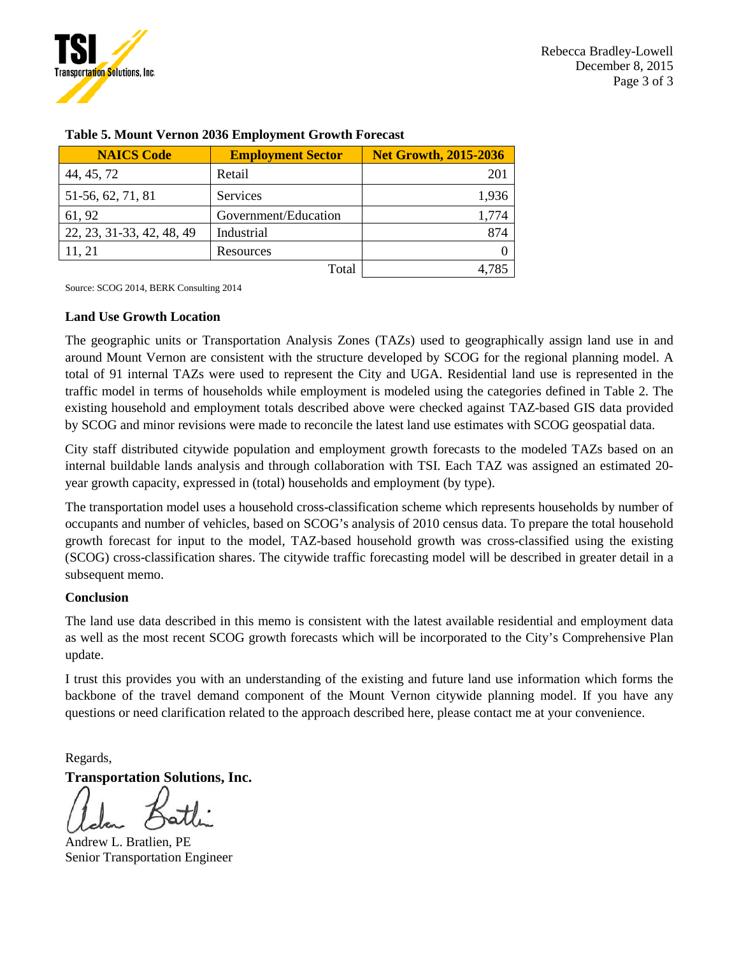

Rebecca Bradley-Lowell December 8, 2015 Page 3 of 3

| <b>NAICS Code</b>         | <b>Employment Sector</b> | <b>Net Growth, 2015-2036</b> |
|---------------------------|--------------------------|------------------------------|
| 44, 45, 72                | Retail                   | 201                          |
| 51-56, 62, 71, 81         | <b>Services</b>          | 1,936                        |
| 61, 92                    | Government/Education     | 1,774                        |
| 22, 23, 31-33, 42, 48, 49 | Industrial               | 874                          |
| 11, 21                    | Resources                |                              |
|                           | Total                    | 4.785                        |

# **Table 5. Mount Vernon 2036 Employment Growth Forecast**

Source: SCOG 2014, BERK Consulting 2014

#### **Land Use Growth Location**

The geographic units or Transportation Analysis Zones (TAZs) used to geographically assign land use in and around Mount Vernon are consistent with the structure developed by SCOG for the regional planning model. A total of 91 internal TAZs were used to represent the City and UGA. Residential land use is represented in the traffic model in terms of households while employment is modeled using the categories defined in Table 2. The existing household and employment totals described above were checked against TAZ-based GIS data provided by SCOG and minor revisions were made to reconcile the latest land use estimates with SCOG geospatial data.

City staff distributed citywide population and employment growth forecasts to the modeled TAZs based on an internal buildable lands analysis and through collaboration with TSI. Each TAZ was assigned an estimated 20 year growth capacity, expressed in (total) households and employment (by type).

The transportation model uses a household cross-classification scheme which represents households by number of occupants and number of vehicles, based on SCOG's analysis of 2010 census data. To prepare the total household growth forecast for input to the model, TAZ-based household growth was cross-classified using the existing (SCOG) cross-classification shares. The citywide traffic forecasting model will be described in greater detail in a subsequent memo.

#### **Conclusion**

The land use data described in this memo is consistent with the latest available residential and employment data as well as the most recent SCOG growth forecasts which will be incorporated to the City's Comprehensive Plan update.

I trust this provides you with an understanding of the existing and future land use information which forms the backbone of the travel demand component of the Mount Vernon citywide planning model. If you have any questions or need clarification related to the approach described here, please contact me at your convenience.

Regards,

**Transportation Solutions, Inc.**

Andrew L. Bratlien, PE Senior Transportation Engineer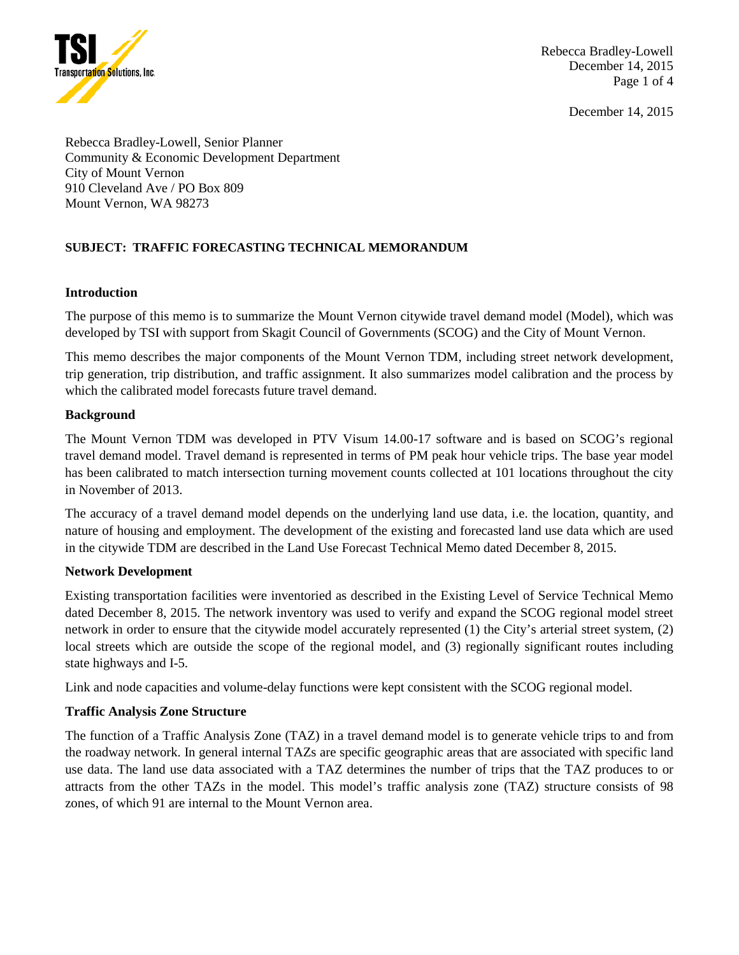

Rebecca Bradley-Lowell December 14, 2015 Page 1 of 4

December 14, 2015

Rebecca Bradley-Lowell, Senior Planner Community & Economic Development Department City of Mount Vernon 910 Cleveland Ave / PO Box 809 Mount Vernon, WA 98273

# **SUBJECT: TRAFFIC FORECASTING TECHNICAL MEMORANDUM**

# **Introduction**

The purpose of this memo is to summarize the Mount Vernon citywide travel demand model (Model), which was developed by TSI with support from Skagit Council of Governments (SCOG) and the City of Mount Vernon.

This memo describes the major components of the Mount Vernon TDM, including street network development, trip generation, trip distribution, and traffic assignment. It also summarizes model calibration and the process by which the calibrated model forecasts future travel demand.

# **Background**

The Mount Vernon TDM was developed in PTV Visum 14.00-17 software and is based on SCOG's regional travel demand model. Travel demand is represented in terms of PM peak hour vehicle trips. The base year model has been calibrated to match intersection turning movement counts collected at 101 locations throughout the city in November of 2013.

The accuracy of a travel demand model depends on the underlying land use data, i.e. the location, quantity, and nature of housing and employment. The development of the existing and forecasted land use data which are used in the citywide TDM are described in the Land Use Forecast Technical Memo dated December 8, 2015.

# **Network Development**

Existing transportation facilities were inventoried as described in the Existing Level of Service Technical Memo dated December 8, 2015. The network inventory was used to verify and expand the SCOG regional model street network in order to ensure that the citywide model accurately represented (1) the City's arterial street system, (2) local streets which are outside the scope of the regional model, and (3) regionally significant routes including state highways and I-5.

Link and node capacities and volume-delay functions were kept consistent with the SCOG regional model.

# **Traffic Analysis Zone Structure**

The function of a Traffic Analysis Zone (TAZ) in a travel demand model is to generate vehicle trips to and from the roadway network. In general internal TAZs are specific geographic areas that are associated with specific land use data. The land use data associated with a TAZ determines the number of trips that the TAZ produces to or attracts from the other TAZs in the model. This model's traffic analysis zone (TAZ) structure consists of 98 zones, of which 91 are internal to the Mount Vernon area.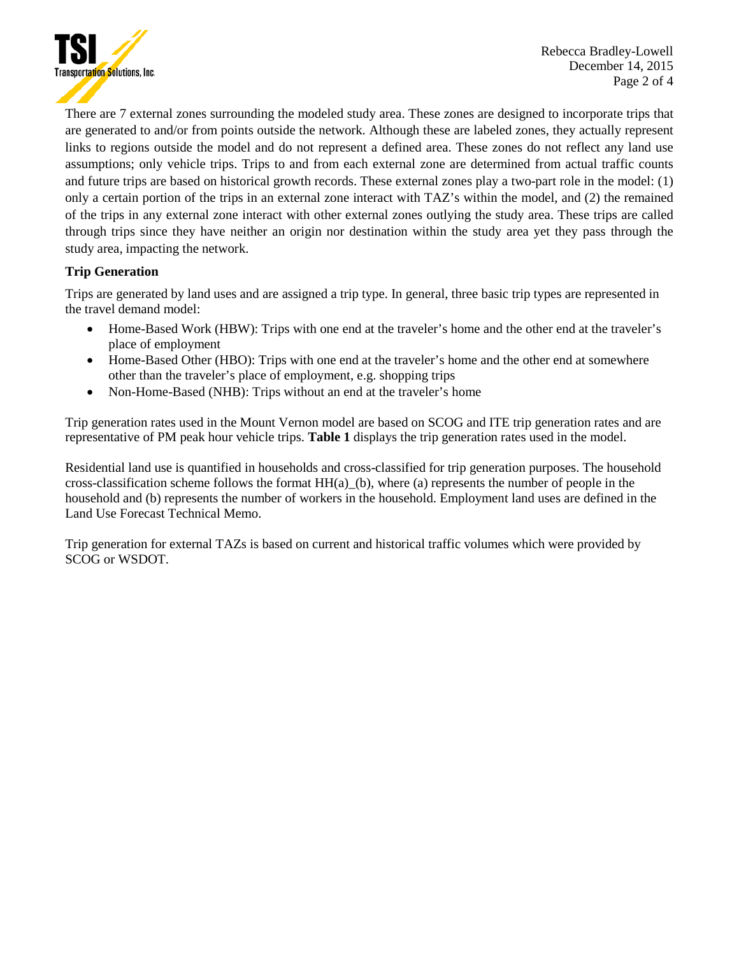

Rebecca Bradley-Lowell December 14, 2015 Page 2 of 4

There are 7 external zones surrounding the modeled study area. These zones are designed to incorporate trips that are generated to and/or from points outside the network. Although these are labeled zones, they actually represent links to regions outside the model and do not represent a defined area. These zones do not reflect any land use assumptions; only vehicle trips. Trips to and from each external zone are determined from actual traffic counts and future trips are based on historical growth records. These external zones play a two-part role in the model: (1) only a certain portion of the trips in an external zone interact with TAZ's within the model, and (2) the remained of the trips in any external zone interact with other external zones outlying the study area. These trips are called through trips since they have neither an origin nor destination within the study area yet they pass through the study area, impacting the network.

# **Trip Generation**

Trips are generated by land uses and are assigned a trip type. In general, three basic trip types are represented in the travel demand model:

- Home-Based Work (HBW): Trips with one end at the traveler's home and the other end at the traveler's place of employment
- Home-Based Other (HBO): Trips with one end at the traveler's home and the other end at somewhere other than the traveler's place of employment, e.g. shopping trips
- Non-Home-Based (NHB): Trips without an end at the traveler's home

Trip generation rates used in the Mount Vernon model are based on SCOG and ITE trip generation rates and are representative of PM peak hour vehicle trips. **Table 1** displays the trip generation rates used in the model.

Residential land use is quantified in households and cross-classified for trip generation purposes. The household cross-classification scheme follows the format  $HH(a)$  (b), where (a) represents the number of people in the household and (b) represents the number of workers in the household. Employment land uses are defined in the Land Use Forecast Technical Memo.

Trip generation for external TAZs is based on current and historical traffic volumes which were provided by SCOG or WSDOT.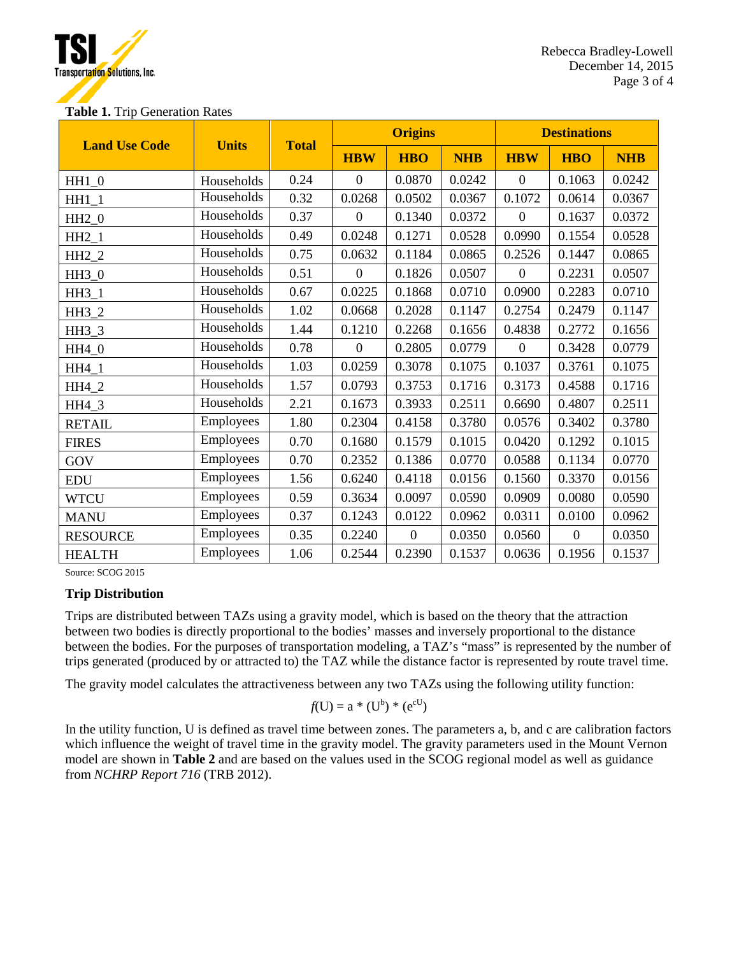

# **Table 1.** Trip Generation Rates

|                      |              |              |                  | <b>Origins</b>   |            |                  | <b>Destinations</b> |            |
|----------------------|--------------|--------------|------------------|------------------|------------|------------------|---------------------|------------|
| <b>Land Use Code</b> | <b>Units</b> | <b>Total</b> | <b>HBW</b>       | <b>HBO</b>       | <b>NHB</b> | <b>HBW</b>       | <b>HBO</b>          | <b>NHB</b> |
| $HH1_0$              | Households   | 0.24         | $\mathbf{0}$     | 0.0870           | 0.0242     | $\mathbf{0}$     | 0.1063              | 0.0242     |
| $HH1_1$              | Households   | 0.32         | 0.0268           | 0.0502           | 0.0367     | 0.1072           | 0.0614              | 0.0367     |
| $HH2_0$              | Households   | 0.37         | $\boldsymbol{0}$ | 0.1340           | 0.0372     | $\boldsymbol{0}$ | 0.1637              | 0.0372     |
| $HH2_1$              | Households   | 0.49         | 0.0248           | 0.1271           | 0.0528     | 0.0990           | 0.1554              | 0.0528     |
| $HH2_2$              | Households   | 0.75         | 0.0632           | 0.1184           | 0.0865     | 0.2526           | 0.1447              | 0.0865     |
| $HH3_0$              | Households   | 0.51         | $\boldsymbol{0}$ | 0.1826           | 0.0507     | $\boldsymbol{0}$ | 0.2231              | 0.0507     |
| $HH3_1$              | Households   | 0.67         | 0.0225           | 0.1868           | 0.0710     | 0.0900           | 0.2283              | 0.0710     |
| $HH3_2$              | Households   | 1.02         | 0.0668           | 0.2028           | 0.1147     | 0.2754           | 0.2479              | 0.1147     |
| HH3_3                | Households   | 1.44         | 0.1210           | 0.2268           | 0.1656     | 0.4838           | 0.2772              | 0.1656     |
| $HH4_0$              | Households   | 0.78         | $\boldsymbol{0}$ | 0.2805           | 0.0779     | $\boldsymbol{0}$ | 0.3428              | 0.0779     |
| $HH4_1$              | Households   | 1.03         | 0.0259           | 0.3078           | 0.1075     | 0.1037           | 0.3761              | 0.1075     |
| $HH4_2$              | Households   | 1.57         | 0.0793           | 0.3753           | 0.1716     | 0.3173           | 0.4588              | 0.1716     |
| HH4_3                | Households   | 2.21         | 0.1673           | 0.3933           | 0.2511     | 0.6690           | 0.4807              | 0.2511     |
| <b>RETAIL</b>        | Employees    | 1.80         | 0.2304           | 0.4158           | 0.3780     | 0.0576           | 0.3402              | 0.3780     |
| <b>FIRES</b>         | Employees    | 0.70         | 0.1680           | 0.1579           | 0.1015     | 0.0420           | 0.1292              | 0.1015     |
| GOV                  | Employees    | 0.70         | 0.2352           | 0.1386           | 0.0770     | 0.0588           | 0.1134              | 0.0770     |
| <b>EDU</b>           | Employees    | 1.56         | 0.6240           | 0.4118           | 0.0156     | 0.1560           | 0.3370              | 0.0156     |
| <b>WTCU</b>          | Employees    | 0.59         | 0.3634           | 0.0097           | 0.0590     | 0.0909           | 0.0080              | 0.0590     |
| <b>MANU</b>          | Employees    | 0.37         | 0.1243           | 0.0122           | 0.0962     | 0.0311           | 0.0100              | 0.0962     |
| <b>RESOURCE</b>      | Employees    | 0.35         | 0.2240           | $\boldsymbol{0}$ | 0.0350     | 0.0560           | $\boldsymbol{0}$    | 0.0350     |
| <b>HEALTH</b>        | Employees    | 1.06         | 0.2544           | 0.2390           | 0.1537     | 0.0636           | 0.1956              | 0.1537     |

Source: SCOG 2015

# **Trip Distribution**

Trips are distributed between TAZs using a gravity model, which is based on the theory that the attraction between two bodies is directly proportional to the bodies' masses and inversely proportional to the distance between the bodies. For the purposes of transportation modeling, a TAZ's "mass" is represented by the number of trips generated (produced by or attracted to) the TAZ while the distance factor is represented by route travel time.

The gravity model calculates the attractiveness between any two TAZs using the following utility function:

$$
f(U) = a * (U^b) * (e^{cU})
$$

In the utility function, U is defined as travel time between zones. The parameters a, b, and c are calibration factors which influence the weight of travel time in the gravity model. The gravity parameters used in the Mount Vernon model are shown in **Table 2** and are based on the values used in the SCOG regional model as well as guidance from *NCHRP Report 716* (TRB 2012).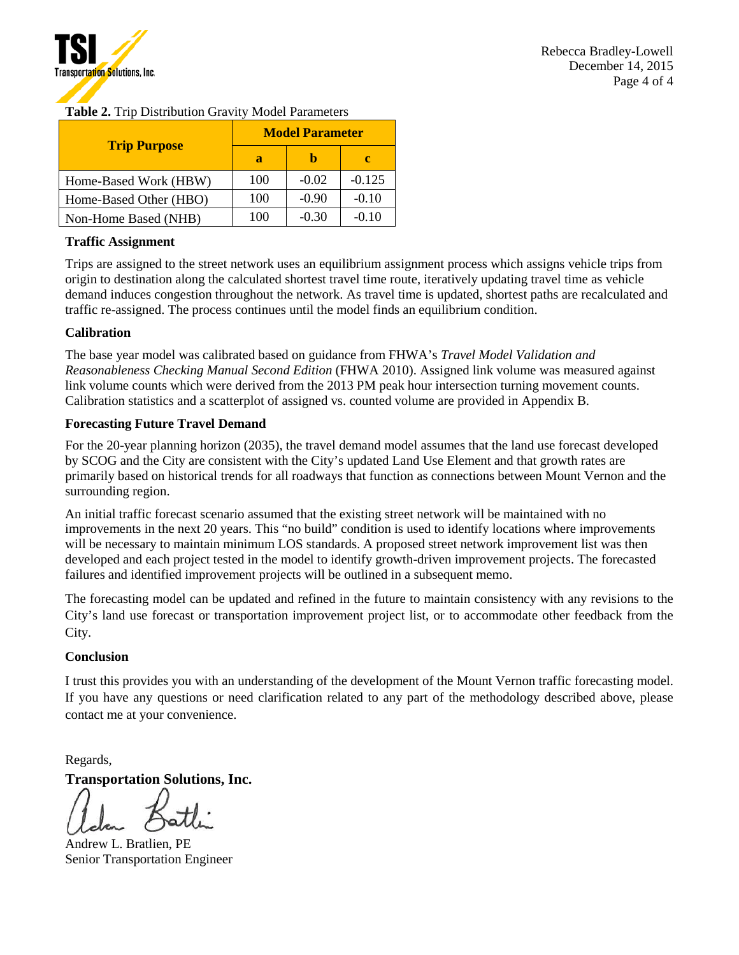

|  | Table 2. Trip Distribution Gravity Model Parameters |  |  |
|--|-----------------------------------------------------|--|--|
|  |                                                     |  |  |

|                        | <b>Model Parameter</b> |         |          |  |  |
|------------------------|------------------------|---------|----------|--|--|
| <b>Trip Purpose</b>    | a                      | h       | c        |  |  |
| Home-Based Work (HBW)  | 100                    | $-0.02$ | $-0.125$ |  |  |
| Home-Based Other (HBO) | 100                    | $-0.90$ | $-0.10$  |  |  |
| Non-Home Based (NHB)   | 100                    | $-0.30$ | $-0.10$  |  |  |

# **Traffic Assignment**

Trips are assigned to the street network uses an equilibrium assignment process which assigns vehicle trips from origin to destination along the calculated shortest travel time route, iteratively updating travel time as vehicle demand induces congestion throughout the network. As travel time is updated, shortest paths are recalculated and traffic re-assigned. The process continues until the model finds an equilibrium condition.

# **Calibration**

The base year model was calibrated based on guidance from FHWA's *Travel Model Validation and Reasonableness Checking Manual Second Edition* (FHWA 2010). Assigned link volume was measured against link volume counts which were derived from the 2013 PM peak hour intersection turning movement counts. Calibration statistics and a scatterplot of assigned vs. counted volume are provided in Appendix B.

# **Forecasting Future Travel Demand**

For the 20-year planning horizon (2035), the travel demand model assumes that the land use forecast developed by SCOG and the City are consistent with the City's updated Land Use Element and that growth rates are primarily based on historical trends for all roadways that function as connections between Mount Vernon and the surrounding region.

An initial traffic forecast scenario assumed that the existing street network will be maintained with no improvements in the next 20 years. This "no build" condition is used to identify locations where improvements will be necessary to maintain minimum LOS standards. A proposed street network improvement list was then developed and each project tested in the model to identify growth-driven improvement projects. The forecasted failures and identified improvement projects will be outlined in a subsequent memo.

The forecasting model can be updated and refined in the future to maintain consistency with any revisions to the City's land use forecast or transportation improvement project list, or to accommodate other feedback from the City.

# **Conclusion**

I trust this provides you with an understanding of the development of the Mount Vernon traffic forecasting model. If you have any questions or need clarification related to any part of the methodology described above, please contact me at your convenience.

Regards,

**Transportation Solutions, Inc.**

Andrew L. Bratlien, PE Senior Transportation Engineer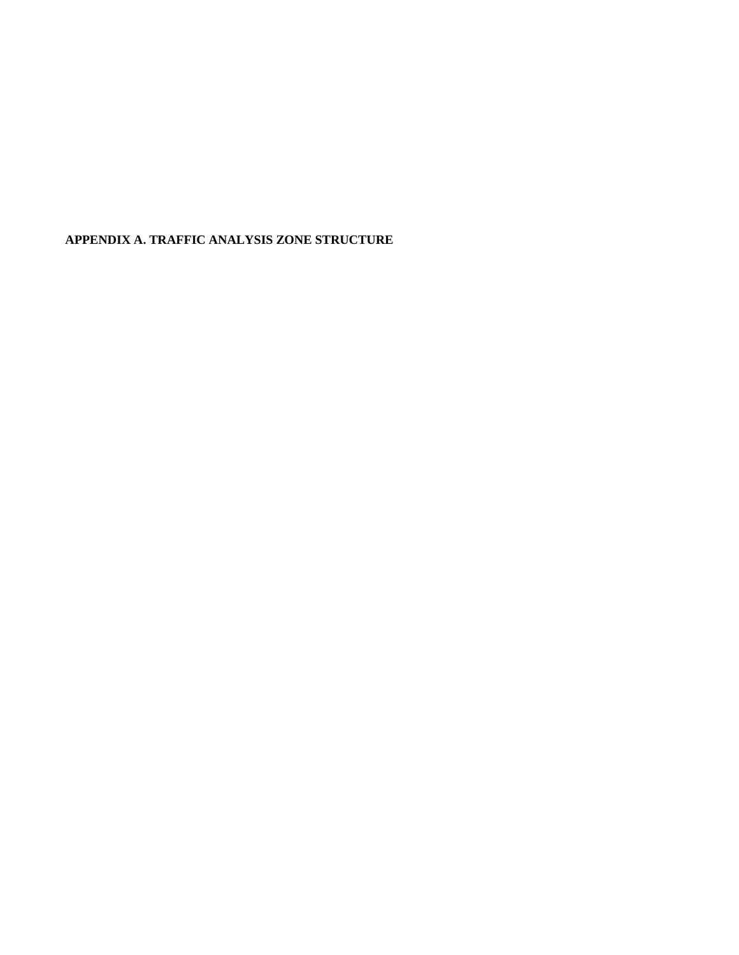**APPENDIX A. TRAFFIC ANALYSIS ZONE STRUCTURE**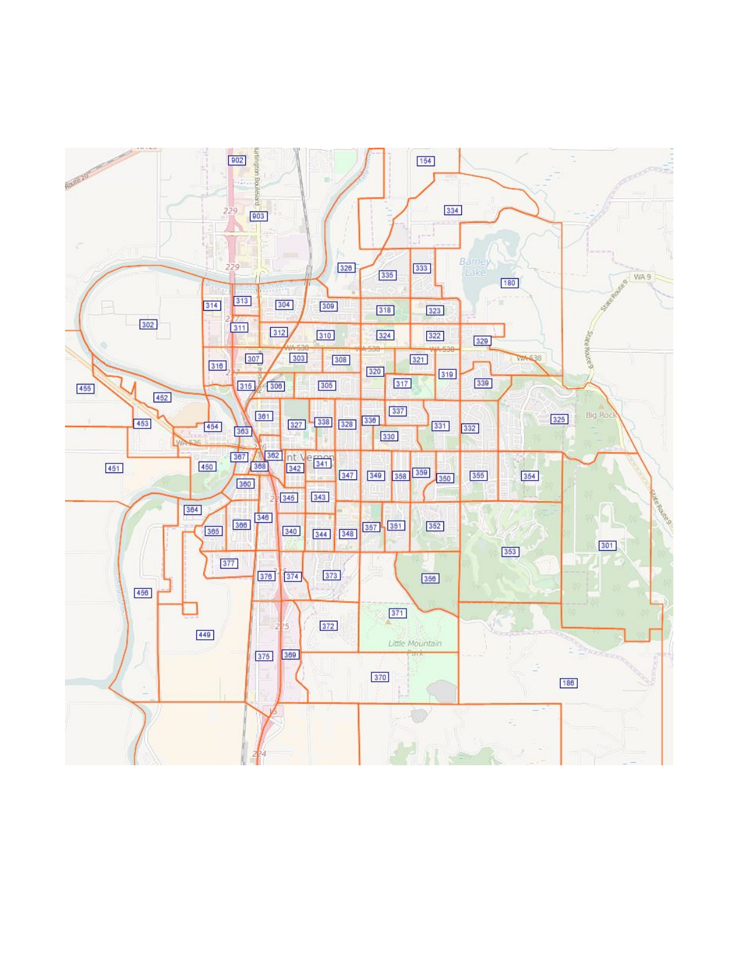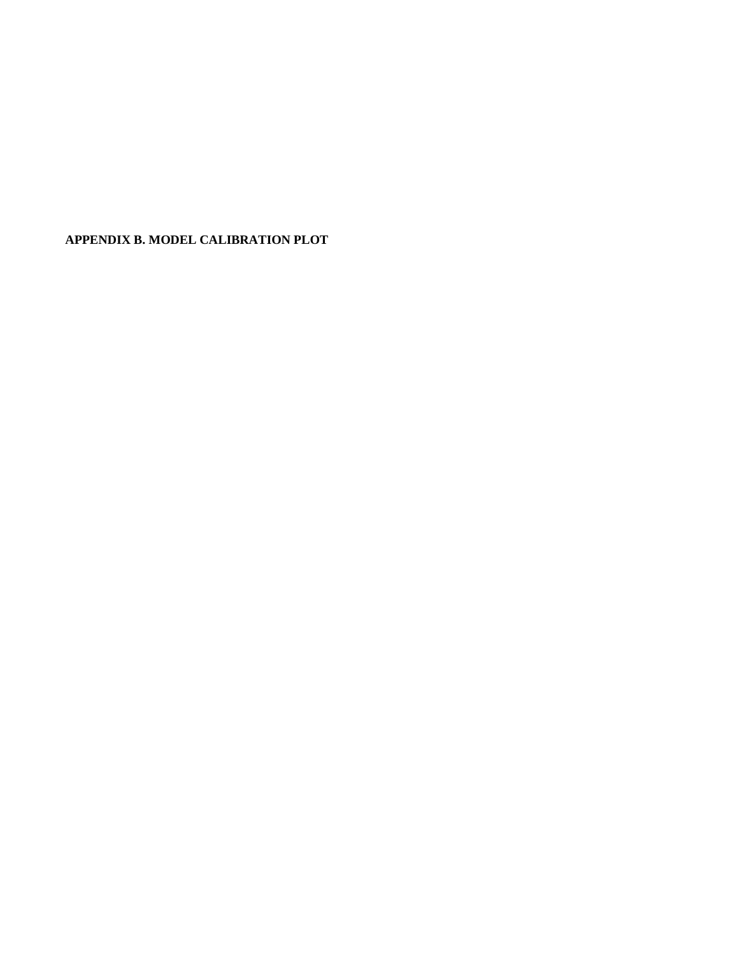**APPENDIX B. MODEL CALIBRATION PLOT**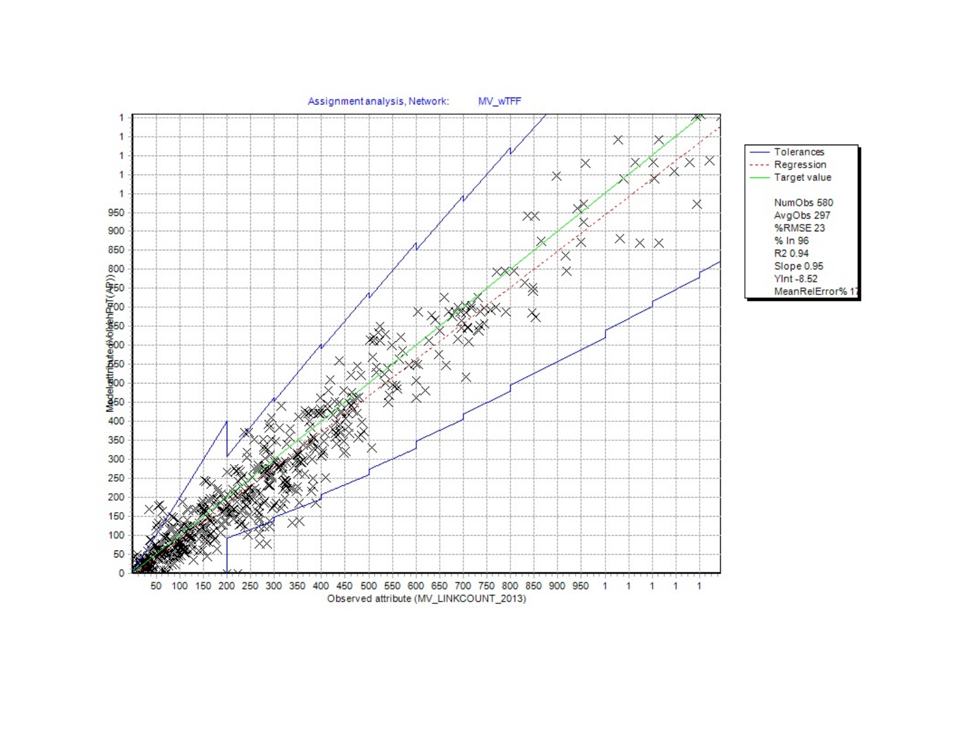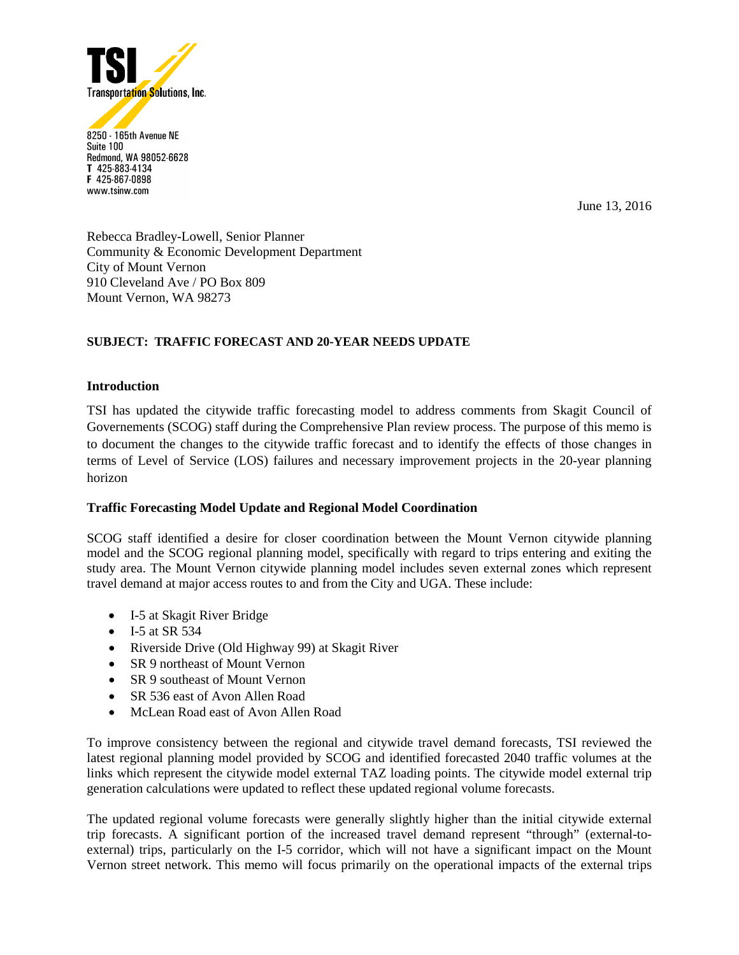

8250 - 165th Avenue NE Suite 100 Redmond, WA 98052-6628 T 425-883-4134 F 425-867-0898 www.tsinw.com

June 13, 2016

Rebecca Bradley-Lowell, Senior Planner Community & Economic Development Department City of Mount Vernon 910 Cleveland Ave / PO Box 809 Mount Vernon, WA 98273

# **SUBJECT: TRAFFIC FORECAST AND 20-YEAR NEEDS UPDATE**

# **Introduction**

TSI has updated the citywide traffic forecasting model to address comments from Skagit Council of Governements (SCOG) staff during the Comprehensive Plan review process. The purpose of this memo is to document the changes to the citywide traffic forecast and to identify the effects of those changes in terms of Level of Service (LOS) failures and necessary improvement projects in the 20-year planning horizon

# **Traffic Forecasting Model Update and Regional Model Coordination**

SCOG staff identified a desire for closer coordination between the Mount Vernon citywide planning model and the SCOG regional planning model, specifically with regard to trips entering and exiting the study area. The Mount Vernon citywide planning model includes seven external zones which represent travel demand at major access routes to and from the City and UGA. These include:

- I-5 at Skagit River Bridge
- $\bullet$  I-5 at SR 534
- Riverside Drive (Old Highway 99) at Skagit River
- SR 9 northeast of Mount Vernon
- SR 9 southeast of Mount Vernon
- SR 536 east of Avon Allen Road
- McLean Road east of Avon Allen Road

To improve consistency between the regional and citywide travel demand forecasts, TSI reviewed the latest regional planning model provided by SCOG and identified forecasted 2040 traffic volumes at the links which represent the citywide model external TAZ loading points. The citywide model external trip generation calculations were updated to reflect these updated regional volume forecasts.

The updated regional volume forecasts were generally slightly higher than the initial citywide external trip forecasts. A significant portion of the increased travel demand represent "through" (external-toexternal) trips, particularly on the I-5 corridor, which will not have a significant impact on the Mount Vernon street network. This memo will focus primarily on the operational impacts of the external trips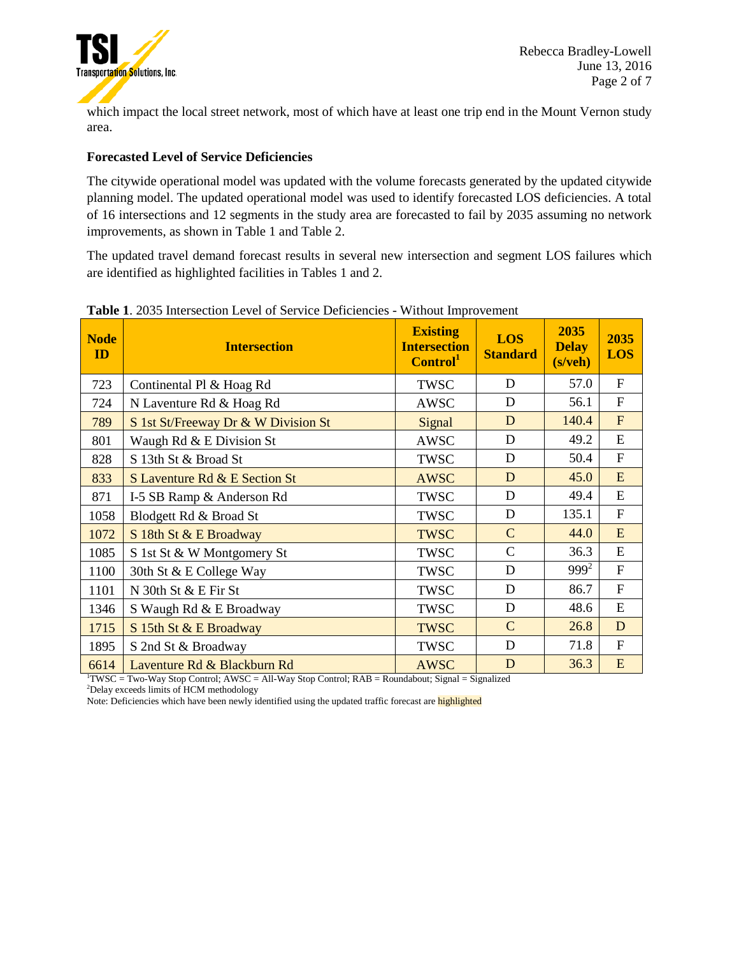

which impact the local street network, most of which have at least one trip end in the Mount Vernon study area.

# **Forecasted Level of Service Deficiencies**

The citywide operational model was updated with the volume forecasts generated by the updated citywide planning model. The updated operational model was used to identify forecasted LOS deficiencies. A total of 16 intersections and 12 segments in the study area are forecasted to fail by 2035 assuming no network improvements, as shown in Table 1 and Table 2.

The updated travel demand forecast results in several new intersection and segment LOS failures which are identified as highlighted facilities in Tables 1 and 2.

| <b>Node</b><br>ID | <b>Intersection</b>                 | <b>Existing</b><br><b>Intersection</b><br>Control <sup>1</sup> | <b>LOS</b><br><b>Standard</b> | 2035<br><b>Delay</b><br>(s/veh) | 2035<br>LOS    |
|-------------------|-------------------------------------|----------------------------------------------------------------|-------------------------------|---------------------------------|----------------|
| 723               | Continental Pl & Hoag Rd            | <b>TWSC</b>                                                    | D                             | 57.0                            | $\mathbf{F}$   |
| 724               | N Laventure Rd & Hoag Rd            | <b>AWSC</b>                                                    | D                             | 56.1                            | $\overline{F}$ |
| 789               | S 1st St/Freeway Dr & W Division St | Signal                                                         | D                             | 140.4                           | $\mathbf{F}$   |
| 801               | Waugh Rd & E Division St            | <b>AWSC</b>                                                    | D                             | 49.2                            | E              |
| 828               | S 13th St & Broad St                | <b>TWSC</b>                                                    | D                             | 50.4                            | $\mathbf F$    |
| 833               | S Laventure Rd & E Section St       | <b>AWSC</b>                                                    | D                             | 45.0                            | E              |
| 871               | I-5 SB Ramp & Anderson Rd           | <b>TWSC</b>                                                    | D                             | 49.4                            | E              |
| 1058              | Blodgett Rd & Broad St              | <b>TWSC</b>                                                    | D                             | 135.1                           | $\overline{F}$ |
| 1072              | S 18th St & E Broadway              | <b>TWSC</b>                                                    | $\mathbf C$                   | 44.0                            | E              |
| 1085              | S 1st St & W Montgomery St          | <b>TWSC</b>                                                    | $\mathcal{C}$                 | 36.3                            | E              |
| 1100              | 30th St & E College Way             | <b>TWSC</b>                                                    | D                             | $999^2$                         | $\mathbf F$    |
| 1101              | N 30th St & E Fir St                | <b>TWSC</b>                                                    | D                             | 86.7                            | $\overline{F}$ |
| 1346              | S Waugh Rd & E Broadway             | <b>TWSC</b>                                                    | D                             | 48.6                            | E              |
| 1715              | S 15th St & E Broadway              | <b>TWSC</b>                                                    | $\mathcal{C}$                 | 26.8                            | D              |
| 1895              | S 2nd St & Broadway                 | <b>TWSC</b>                                                    | D                             | 71.8                            | $\mathbf{F}$   |
| 6614              | Laventure Rd & Blackburn Rd         | <b>AWSC</b>                                                    | D                             | 36.3                            | E              |

**Table 1**. 2035 Intersection Level of Service Deficiencies - Without Improvement

 $\frac{1}{2}$ TWSC = Two-Way Stop Control; AWSC = All-Way Stop Control; RAB = Roundabout; Signal = Signalized  $\frac{2}{2}$ 

Delay exceeds limits of HCM methodology

Note: Deficiencies which have been newly identified using the updated traffic forecast are highlighted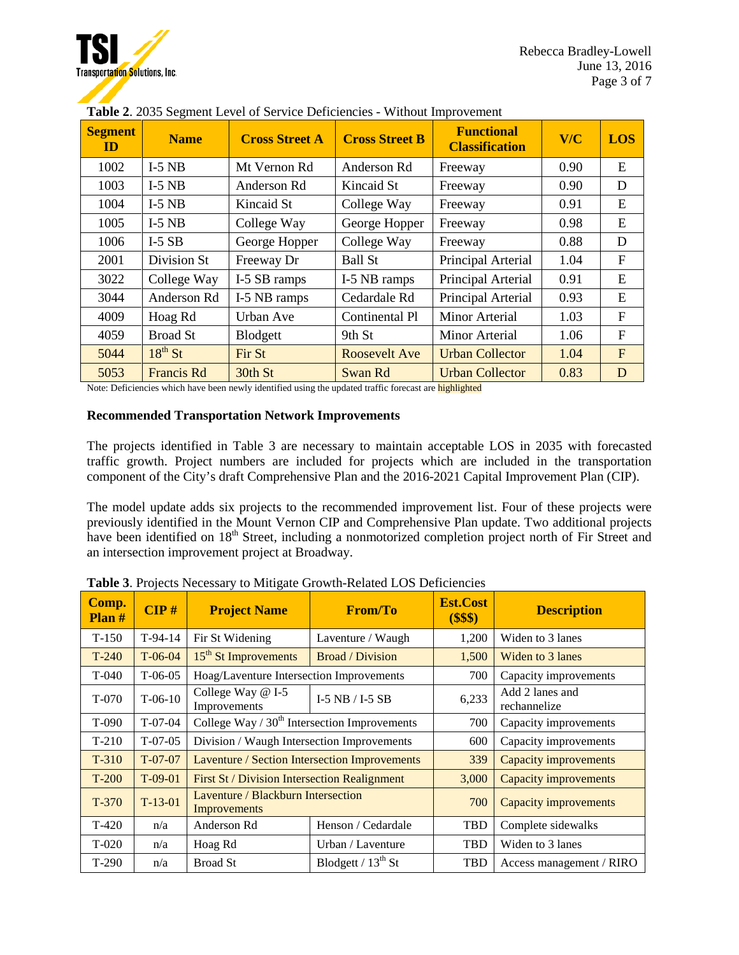

| <b>Segment</b><br>ID | <b>Name</b>       | <b>Cross Street A</b> | <b>Cross Street B</b> | <b>Functional</b><br><b>Classification</b> | V/C  | LOS          |
|----------------------|-------------------|-----------------------|-----------------------|--------------------------------------------|------|--------------|
| 1002                 | $I-5$ NB          | Mt Vernon Rd          | Anderson Rd           | Freeway                                    | 0.90 | E            |
| 1003                 | $I-5$ NB          | Anderson Rd           | Kincaid St            | Freeway                                    | 0.90 | $\mathbf D$  |
| 1004                 | $I-5$ NB          | Kincaid St            | College Way           | Freeway                                    | 0.91 | E            |
| 1005                 | $I-5$ NB          | College Way           | George Hopper         | Freeway                                    | 0.98 | E            |
| 1006                 | $I-5SB$           | George Hopper         | College Way           | Freeway                                    | 0.88 | D            |
| 2001                 | Division St       | Freeway Dr            | <b>Ball St</b>        | Principal Arterial                         | 1.04 | $\mathbf{F}$ |
| 3022                 | College Way       | I-5 SB ramps          | I-5 NB ramps          | Principal Arterial                         | 0.91 | E            |
| 3044                 | Anderson Rd       | I-5 NB ramps          | Cedardale Rd          | Principal Arterial                         | 0.93 | E            |
| 4009                 | Hoag Rd           | Urban Ave             | Continental Pl        | Minor Arterial                             | 1.03 | F            |
| 4059                 | <b>Broad St</b>   | Blodgett              | 9th St                | Minor Arterial                             | 1.06 | $\mathbf{F}$ |
| 5044                 | $18^{th}$ St      | Fir St                | <b>Roosevelt Ave</b>  | <b>Urban Collector</b>                     | 1.04 | F            |
| 5053                 | <b>Francis Rd</b> | 30th St               | <b>Swan Rd</b>        | <b>Urban Collector</b>                     | 0.83 | D            |

| <b>Table 2.</b> 2035 Segment Level of Service Deficiencies - Without Improvement |  |
|----------------------------------------------------------------------------------|--|

Note: Deficiencies which have been newly identified using the updated traffic forecast are **highlighted** 

# **Recommended Transportation Network Improvements**

The projects identified in Table 3 are necessary to maintain acceptable LOS in 2035 with forecasted traffic growth. Project numbers are included for projects which are included in the transportation component of the City's draft Comprehensive Plan and the 2016-2021 Capital Improvement Plan (CIP).

The model update adds six projects to the recommended improvement list. Four of these projects were previously identified in the Mount Vernon CIP and Comprehensive Plan update. Two additional projects have been identified on 18<sup>th</sup> Street, including a nonmotorized completion project north of Fir Street and an intersection improvement project at Broadway.

| Comp.<br>Plan # | CIP#      | <b>Project Name</b>                                | From/To                 | <b>Est.Cost</b><br>$($ \$\$\$) | <b>Description</b>              |
|-----------------|-----------|----------------------------------------------------|-------------------------|--------------------------------|---------------------------------|
| $T-150$         | $T-94-14$ | Fir St Widening                                    | Laventure / Waugh       | 1,200                          | Widen to 3 lanes                |
| $T-240$         | $T-06-04$ | 15 <sup>th</sup> St Improvements                   | <b>Broad / Division</b> | 1,500                          | Widen to 3 lanes                |
| $T-040$         | $T-06-05$ | Hoag/Laventure Intersection Improvements           |                         | 700                            | Capacity improvements           |
| T-070           | $T-06-10$ | College Way @ I-5<br>Improvements                  | I-5 NB $/$ I-5 SB       | 6,233                          | Add 2 lanes and<br>rechannelize |
| T-090           | $T-07-04$ | College Way / $30th$ Intersection Improvements     |                         | 700                            | Capacity improvements           |
| $T-210$         | $T-07-05$ | Division / Waugh Intersection Improvements         |                         | 600                            | Capacity improvements           |
| T-310           | $T-07-07$ | Laventure / Section Intersection Improvements      |                         | 339                            | <b>Capacity improvements</b>    |
| $T-200$         | $T-09-01$ | First St / Division Intersection Realignment       |                         | 3,000                          | <b>Capacity improvements</b>    |
| $T-370$         | $T-13-01$ | Laventure / Blackburn Intersection<br>Improvements |                         | 700                            | <b>Capacity improvements</b>    |
| $T-420$         | n/a       | Anderson Rd                                        | Henson / Cedardale      | <b>TBD</b>                     | Complete sidewalks              |
| $T-020$         | n/a       | Hoag Rd                                            | Urban / Laventure       | <b>TBD</b>                     | Widen to 3 lanes                |
| $T-290$         | n/a       | <b>Broad St</b>                                    | Blodgett / $13th$ St    | <b>TBD</b>                     | Access management / RIRO        |

**Table 3**. Projects Necessary to Mitigate Growth-Related LOS Deficiencies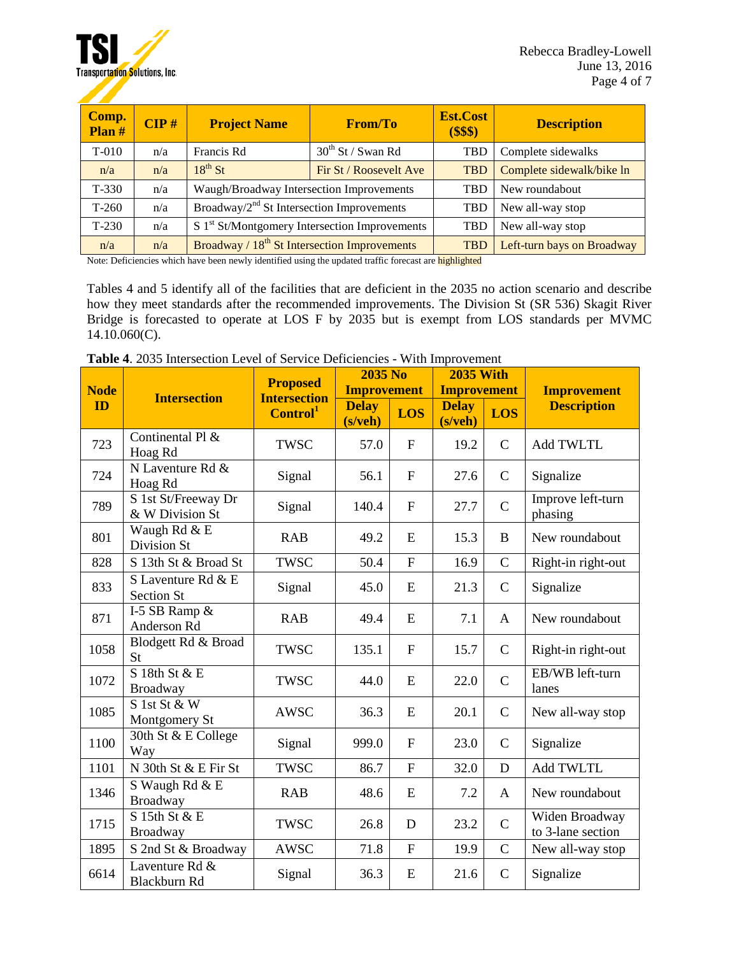

| Comp.<br>Plan# | CIP# | <b>Project Name</b>                                                                                                                                                              | From/To                                                     | <b>Est.Cost</b><br>(\$\$ | <b>Description</b>         |
|----------------|------|----------------------------------------------------------------------------------------------------------------------------------------------------------------------------------|-------------------------------------------------------------|--------------------------|----------------------------|
| $T-010$        | n/a  | Francis Rd                                                                                                                                                                       | $30th$ St / Swan Rd                                         |                          | Complete sidewalks         |
| n/a            | n/a  | $18^{th}$ St<br>Fir St / Roosevelt Ave                                                                                                                                           |                                                             | <b>TBD</b>               | Complete sidewalk/bike ln  |
| $T-330$        | n/a  | Waugh/Broadway Intersection Improvements                                                                                                                                         |                                                             | <b>TBD</b>               | New roundabout             |
| $T-260$        | n/a  | Broadway/2 <sup>nd</sup> St Intersection Improvements                                                                                                                            |                                                             | <b>TBD</b>               | New all-way stop           |
| $T-230$        | n/a  |                                                                                                                                                                                  | $S$ 1 <sup>st</sup> St/Montgomery Intersection Improvements | <b>TBD</b>               | New all-way stop           |
| n/a            | n/a  | Broadway / $18th$ St Intersection Improvements<br>$\mathbf{a}$ , and $\mathbf{a}$ , and $\mathbf{a}$ , and $\mathbf{a}$ , and $\mathbf{a}$ , and $\mathbf{a}$ , and $\mathbf{a}$ |                                                             | <b>TBD</b><br>.          | Left-turn bays on Broadway |

Note: Deficiencies which have been newly identified using the updated traffic forecast are highlighted

Tables 4 and 5 identify all of the facilities that are deficient in the 2035 no action scenario and describe how they meet standards after the recommended improvements. The Division St (SR 536) Skagit River Bridge is forecasted to operate at LOS F by 2035 but is exempt from LOS standards per MVMC 14.10.060(C).

| <b>Node</b> |                                            | <b>Proposed</b>                             | 2035 No<br><b>Improvement</b> |                  | <b>2035 With</b><br><b>Improvement</b> |              | <b>Improvement</b>                  |
|-------------|--------------------------------------------|---------------------------------------------|-------------------------------|------------------|----------------------------------------|--------------|-------------------------------------|
| ID          | <b>Intersection</b>                        | <b>Intersection</b><br>Control <sup>1</sup> | <b>Delay</b><br>(s/veh)       | LOS              | <b>Delay</b><br>(s/veh)                | LOS          | <b>Description</b>                  |
| 723         | Continental Pl &<br>Hoag Rd                | <b>TWSC</b>                                 | 57.0                          | $\mathbf{F}$     | 19.2                                   | $\mathbf C$  | Add TWLTL                           |
| 724         | N Laventure Rd &<br>Hoag Rd                | Signal                                      | 56.1                          | $\mathbf{F}$     | 27.6                                   | $\mathsf{C}$ | Signalize                           |
| 789         | S 1st St/Freeway Dr<br>& W Division St     | Signal                                      | 140.4                         | $\mathbf{F}$     | 27.7                                   | $\mathsf{C}$ | Improve left-turn<br>phasing        |
| 801         | Waugh Rd & E<br>Division St                | <b>RAB</b>                                  | 49.2                          | E                | 15.3                                   | B            | New roundabout                      |
| 828         | S 13th St & Broad St                       | <b>TWSC</b>                                 | 50.4                          | $\mathbf{F}$     | 16.9                                   | $\mathbf C$  | Right-in right-out                  |
| 833         | S Laventure Rd & E<br>Section St           | Signal                                      | 45.0                          | E                | 21.3                                   | $\mathbf C$  | Signalize                           |
| 871         | I-5 SB Ramp $\overline{\&}$<br>Anderson Rd | <b>RAB</b>                                  | 49.4                          | E                | 7.1                                    | $\mathsf{A}$ | New roundabout                      |
| 1058        | Blodgett Rd & Broad<br>St                  | <b>TWSC</b>                                 | 135.1                         | $\mathbf{F}$     | 15.7                                   | $\mathbf C$  | Right-in right-out                  |
| 1072        | S 18th St & E<br><b>Broadway</b>           | <b>TWSC</b>                                 | 44.0                          | E                | 22.0                                   | $\mathbf C$  | EB/WB left-turn<br>lanes            |
| 1085        | S 1st St & W<br>Montgomery St              | <b>AWSC</b>                                 | 36.3                          | E                | 20.1                                   | $\mathsf{C}$ | New all-way stop                    |
| 1100        | 30th St & E College<br>Way                 | Signal                                      | 999.0                         | ${\bf F}$        | 23.0                                   | $\mathbf C$  | Signalize                           |
| 1101        | N 30th St & E Fir St                       | <b>TWSC</b>                                 | 86.7                          | $\boldsymbol{F}$ | 32.0                                   | D            | Add TWLTL                           |
| 1346        | S Waugh Rd & E<br><b>Broadway</b>          | <b>RAB</b>                                  | 48.6                          | E                | 7.2                                    | A            | New roundabout                      |
| 1715        | S 15th St & E<br>Broadway                  | <b>TWSC</b>                                 | 26.8                          | D                | 23.2                                   | $\mathsf{C}$ | Widen Broadway<br>to 3-lane section |
| 1895        | S 2nd St & Broadway                        | <b>AWSC</b>                                 | 71.8                          | ${\bf F}$        | 19.9                                   | $\mathbf C$  | New all-way stop                    |
| 6614        | Laventure Rd &<br>Blackburn Rd             | Signal                                      | 36.3                          | E                | 21.6                                   | $\mathsf{C}$ | Signalize                           |

| <b>Table 4.</b> 2035 Intersection Level of Service Deficiencies - With Improvement |  |
|------------------------------------------------------------------------------------|--|
|------------------------------------------------------------------------------------|--|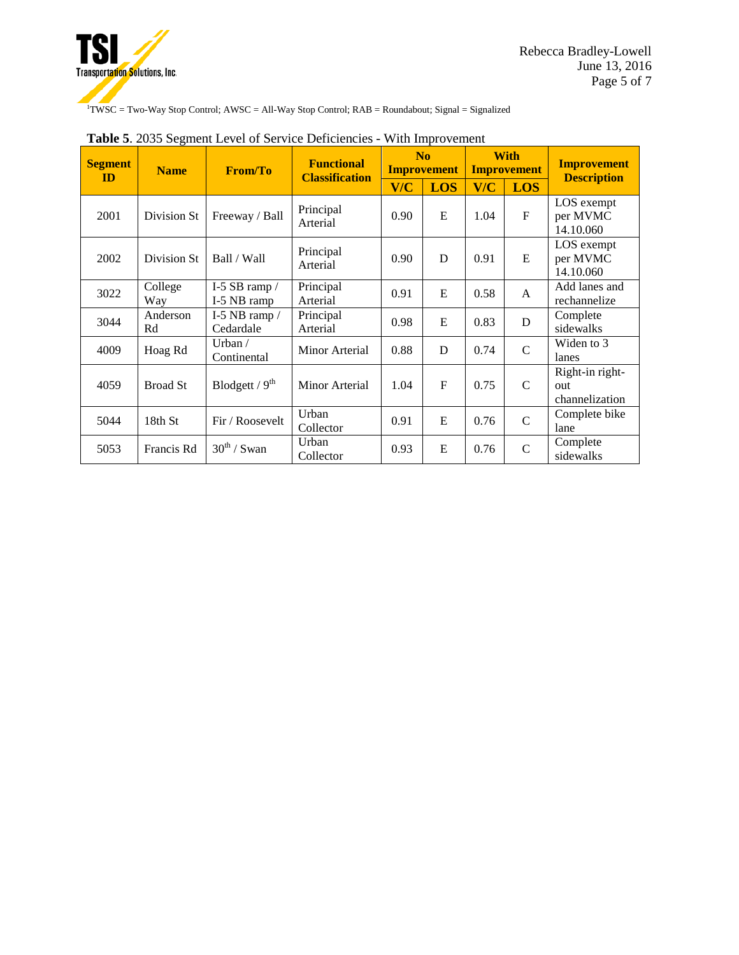

1 TWSC = Two-Way Stop Control; AWSC = All-Way Stop Control; RAB = Roundabout; Signal = Signalized

| <b>Segment</b><br><b>ID</b> | <b>Name</b>     | From/To                              | <b>Functional</b><br><b>Classification</b> | N <sub>0</sub><br><b>Improvement</b> |              | <b>With</b><br><b>Improvement</b> |               | <b>Improvement</b><br><b>Description</b> |
|-----------------------------|-----------------|--------------------------------------|--------------------------------------------|--------------------------------------|--------------|-----------------------------------|---------------|------------------------------------------|
|                             |                 |                                      |                                            | V/C                                  | LOS          | V/C                               | <b>LOS</b>    |                                          |
| 2001                        | Division St     | Freeway / Ball                       | Principal<br>Arterial                      | 0.90                                 | E            | 1.04                              | $\mathbf F$   | LOS exempt<br>per MVMC<br>14.10.060      |
| 2002                        | Division St.    | Ball / Wall                          | Principal<br>Arterial                      | 0.90                                 | D            | 0.91                              | E             | LOS exempt<br>per MVMC<br>14.10.060      |
| 3022                        | College<br>Way  | I-5 SB ramp $/$<br>I-5 NB ramp       | Principal<br>Arterial                      | 0.91                                 | E            | 0.58                              | $\mathsf{A}$  | Add lanes and<br>rechannelize            |
| 3044                        | Anderson<br>Rd  | I-5 NB ramp $/$<br>Cedardale         | Principal<br>Arterial                      | 0.98                                 | E            | 0.83                              | D             | Complete<br>sidewalks                    |
| 4009                        | Hoag Rd         | Urban $\overline{\ }$<br>Continental | Minor Arterial                             | 0.88                                 | D            | 0.74                              | $\mathcal{C}$ | Widen to 3<br>lanes                      |
| 4059                        | <b>Broad St</b> | Blodgett / $9th$                     | Minor Arterial                             | 1.04                                 | $\mathbf{F}$ | 0.75                              | $\mathcal{C}$ | Right-in right-<br>out<br>channelization |
| 5044                        | 18th St         | Fir / Roosevelt                      | Urban<br>Collector                         | 0.91                                 | E            | 0.76                              | $\mathcal{C}$ | Complete bike<br>lane                    |
| 5053                        | Francis Rd      | $30^{\text{th}}$ / Swan              | Urban<br>Collector                         | 0.93                                 | E            | 0.76                              | $\mathbf C$   | Complete<br>sidewalks                    |

# **Table 5**. 2035 Segment Level of Service Deficiencies - With Improvement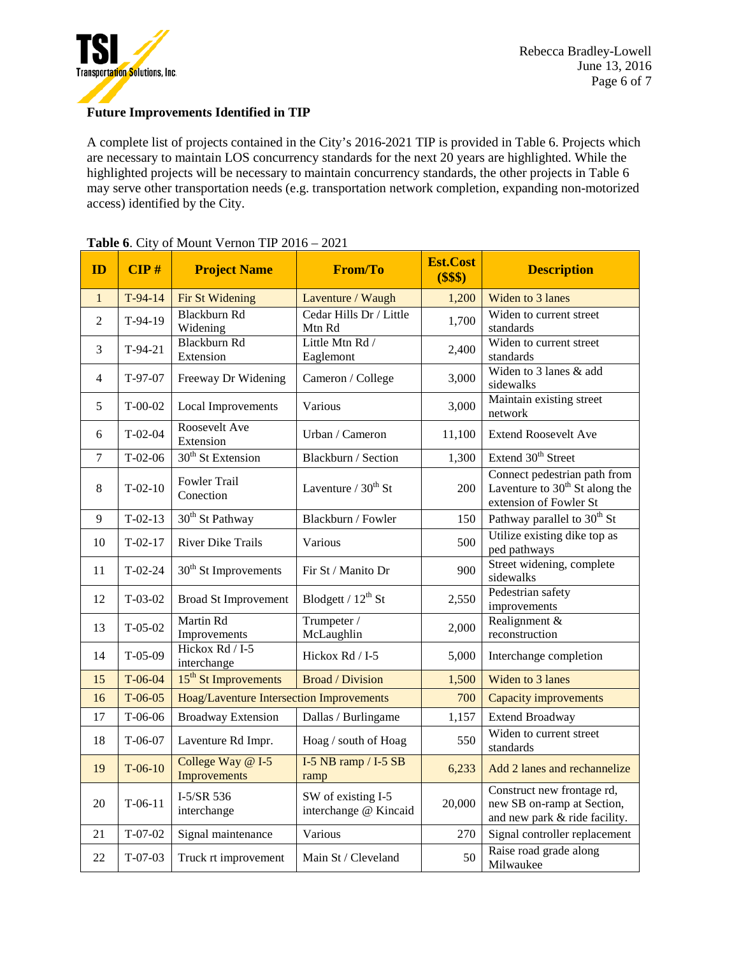

# **Future Improvements Identified in TIP**

A complete list of projects contained in the City's 2016-2021 TIP is provided in Table 6. Projects which are necessary to maintain LOS concurrency standards for the next 20 years are highlighted. While the highlighted projects will be necessary to maintain concurrency standards, the other projects in Table 6 may serve other transportation needs (e.g. transportation network completion, expanding non-motorized access) identified by the City.

| ID             | CIP#      | <b>Project Name</b>                      | <b>From/To</b>                              | <b>Est.Cost</b><br>$($ \$\$\$) | <b>Description</b>                                                                                   |  |
|----------------|-----------|------------------------------------------|---------------------------------------------|--------------------------------|------------------------------------------------------------------------------------------------------|--|
| $\mathbf{1}$   | $T-94-14$ | Fir St Widening                          | Laventure / Waugh                           | 1,200                          | Widen to 3 lanes                                                                                     |  |
| $\overline{2}$ | $T-94-19$ | <b>Blackburn Rd</b><br>Widening          | Cedar Hills Dr / Little<br>Mtn Rd           | 1,700                          | Widen to current street<br>standards                                                                 |  |
| 3              | $T-94-21$ | <b>Blackburn Rd</b><br>Extension         | Little Mtn Rd /<br>Eaglemont                | 2,400                          | Widen to current street<br>standards                                                                 |  |
| 4              | T-97-07   | Freeway Dr Widening                      | Cameron / College                           | 3,000                          | Widen to 3 lanes & add<br>sidewalks                                                                  |  |
| 5              | $T-00-02$ | <b>Local Improvements</b>                | Various                                     | 3,000                          | Maintain existing street<br>network                                                                  |  |
| 6              | $T-02-04$ | Roosevelt Ave<br>Extension               | Urban / Cameron                             | 11,100                         | <b>Extend Roosevelt Ave</b>                                                                          |  |
| 7              | $T-02-06$ | 30 <sup>th</sup> St Extension            | Blackburn / Section                         | 1,300                          | Extend 30 <sup>th</sup> Street                                                                       |  |
| 8              | $T-02-10$ | <b>Fowler Trail</b><br>Conection         | Laventure $/30^{th}$ St                     | 200                            | Connect pedestrian path from<br>Laventure to 30 <sup>th</sup> St along the<br>extension of Fowler St |  |
| 9              | $T-02-13$ | 30 <sup>th</sup> St Pathway              | Blackburn / Fowler                          | 150                            | Pathway parallel to 30 <sup>th</sup> St                                                              |  |
| 10             | $T-02-17$ | <b>River Dike Trails</b>                 | Various                                     | 500                            | Utilize existing dike top as<br>ped pathways                                                         |  |
| 11             | $T-02-24$ | $30th$ St Improvements                   | Fir St / Manito Dr                          | 900                            | Street widening, complete<br>sidewalks                                                               |  |
| 12             | $T-03-02$ | <b>Broad St Improvement</b>              | Blodgett / 12 <sup>th</sup> St              | 2,550                          | Pedestrian safety<br>improvements                                                                    |  |
| 13             | $T-05-02$ | <b>Martin Rd</b><br>Improvements         | Trumpeter /<br>McLaughlin                   | 2,000                          | Realignment &<br>reconstruction                                                                      |  |
| 14             | $T-05-09$ | Hickox Rd / I-5<br>interchange           | Hickox Rd / I-5                             | 5,000                          | Interchange completion                                                                               |  |
| 15             | $T-06-04$ | 15 <sup>th</sup> St Improvements         | <b>Broad / Division</b>                     | 1,500                          | Widen to 3 lanes                                                                                     |  |
| 16             | $T-06-05$ | Hoag/Laventure Intersection Improvements |                                             | 700                            | <b>Capacity improvements</b>                                                                         |  |
| 17             | $T-06-06$ | <b>Broadway Extension</b>                | Dallas / Burlingame                         | 1,157                          | <b>Extend Broadway</b>                                                                               |  |
| 18             | $T-06-07$ | Laventure Rd Impr.                       | Hoag / south of Hoag                        | 550                            | Widen to current street<br>standards                                                                 |  |
| 19             | $T-06-10$ | College Way @ I-5<br><b>Improvements</b> | I-5 NB ramp / I-5 SB<br>ramp                | 6,233                          | Add 2 lanes and rechannelize                                                                         |  |
| 20             | $T-06-11$ | I-5/SR 536<br>interchange                | SW of existing I-5<br>interchange @ Kincaid | 20,000                         | Construct new frontage rd,<br>new SB on-ramp at Section,<br>and new park & ride facility.            |  |
| 21             | $T-07-02$ | Signal maintenance                       | Various                                     | 270                            | Signal controller replacement                                                                        |  |
| 22             | $T-07-03$ | Truck rt improvement                     | Main St / Cleveland                         | 50                             | Raise road grade along<br>Milwaukee                                                                  |  |

# **Table 6**. City of Mount Vernon TIP 2016 – 2021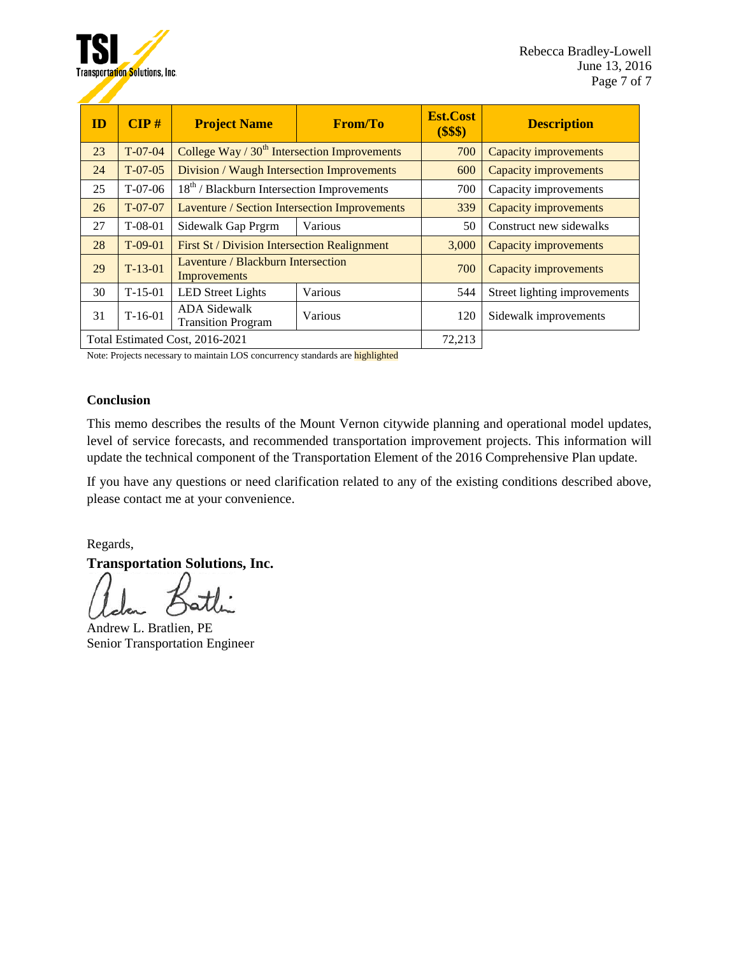



| ID                              | CIP#      | <b>Project Name</b>                                         | <b>From/To</b> | <b>Est.Cost</b><br>(\$\$\$) | <b>Description</b>           |
|---------------------------------|-----------|-------------------------------------------------------------|----------------|-----------------------------|------------------------------|
| 23                              | $T-07-04$ | College Way / $30th$ Intersection Improvements              |                | 700                         | <b>Capacity improvements</b> |
| 24                              | $T-07-05$ | Division / Waugh Intersection Improvements                  |                | 600                         | <b>Capacity improvements</b> |
| 25                              | $T-07-06$ | $18th$ / Blackburn Intersection Improvements                |                | 700                         | Capacity improvements        |
| 26                              | $T-07-07$ | Laventure / Section Intersection Improvements               |                | 339                         | <b>Capacity improvements</b> |
| 27                              | $T-08-01$ | Sidewalk Gap Prgrm<br>Various                               |                | 50                          | Construct new sidewalks      |
| 28                              | $T-09-01$ | First St / Division Intersection Realignment                |                | 3,000                       | <b>Capacity improvements</b> |
| 29                              | $T-13-01$ | Laventure / Blackburn Intersection<br>Improvements          |                | 700                         | <b>Capacity improvements</b> |
| 30                              | $T-15-01$ | <b>LED</b> Street Lights<br>Various                         |                | 544                         | Street lighting improvements |
| 31                              | $T-16-01$ | <b>ADA Sidewalk</b><br>Various<br><b>Transition Program</b> |                | 120                         | Sidewalk improvements        |
| Total Estimated Cost, 2016-2021 |           |                                                             |                | 72,213                      |                              |

Note: Projects necessary to maintain LOS concurrency standards are highlighted

#### **Conclusion**

This memo describes the results of the Mount Vernon citywide planning and operational model updates, level of service forecasts, and recommended transportation improvement projects. This information will update the technical component of the Transportation Element of the 2016 Comprehensive Plan update.

If you have any questions or need clarification related to any of the existing conditions described above, please contact me at your convenience.

Regards,

**Transportation Solutions, Inc.**

Andrew L. Bratlien, PE Senior Transportation Engineer